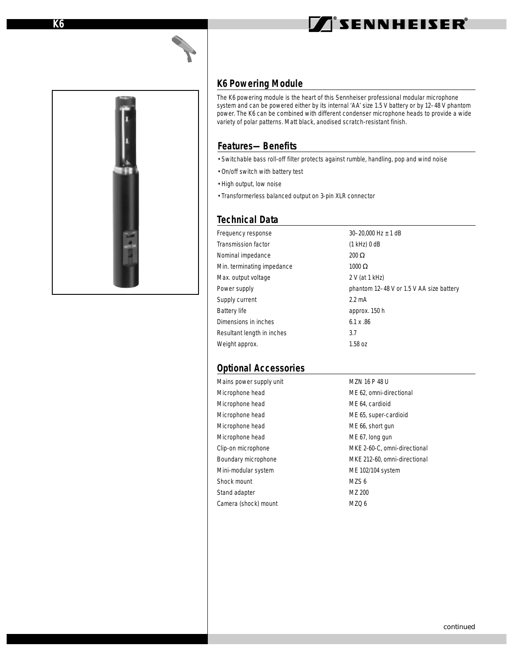# **TISENNHEISER**



#### **K6 Powering Module**

The K6 powering module is the heart of this Sennheiser professional modular microphone system and can be powered either by its internal 'AA' size 1.5 V battery or by 12–48 V phantom power. The K6 can be combined with different condenser microphone heads to provide a wide variety of polar patterns. Matt black, anodised scratch-resistant finish.

## **Features—Benefits**

- Switchable bass roll-off filter protects against rumble, handling, pop and wind noise
- On/off switch with battery test
- High output, low noise
- Transformerless balanced output on 3-pin XLR connector

#### **Technical Data**

| Frequency response         | 30-20,000 Hz $\pm$ 1 dB                  |
|----------------------------|------------------------------------------|
| Transmission factor        | $(1$ kHz $)$ 0 dB                        |
| Nominal impedance          | $200 \Omega$                             |
| Min. terminating impedance | $1000 \Omega$                            |
| Max. output voltage        | 2 V (at 1 kHz)                           |
| Power supply               | phantom 12-48 V or 1.5 V AA size battery |
| Supply current             | $2.2 \text{ mA}$                         |
| Battery life               | approx. 150 h                            |
| Dimensions in inches       | $6.1 \times .86$                         |
| Resultant length in inches | 3.7                                      |
| Weight approx.             | 1.58 oz                                  |

## **Optional Accessories**

| Mains power supply unit | MZN 16 P 48 U                |
|-------------------------|------------------------------|
| Microphone head         | ME 62, omni-directional      |
| Microphone head         | ME 64, cardioid              |
| Microphone head         | ME 65, super-cardioid        |
| Microphone head         | ME 66, short gun             |
| Microphone head         | ME 67, long gun              |
| Clip-on microphone      | MKE 2-60-C, omni-directional |
| Boundary microphone     | MKE 212-60, omni-directional |
| Mini-modular system     | ME 102/104 system            |
| Shock mount             | MZS <sub>6</sub>             |
| Stand adapter           | MZ 200                       |
| Camera (shock) mount    | MZQ 6                        |